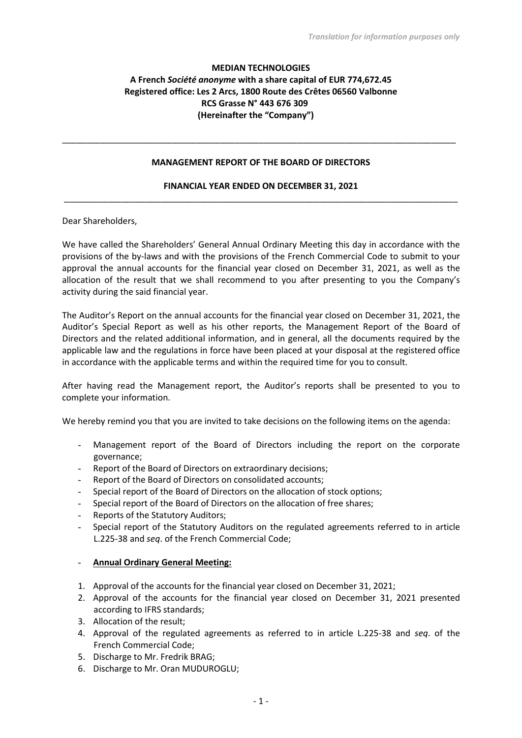# **MEDIAN TECHNOLOGIES A French** *Société anonyme* **with a share capital of EUR 774,672.45 Registered office: Les 2 Arcs, 1800 Route des Crêtes 06560 Valbonne RCS Grasse N° 443 676 309 (Hereinafter the "Company")**

#### **MANAGEMENT REPORT OF THE BOARD OF DIRECTORS**

\_\_\_\_\_\_\_\_\_\_\_\_\_\_\_\_\_\_\_\_\_\_\_\_\_\_\_\_\_\_\_\_\_\_\_\_\_\_\_\_\_\_\_\_\_\_\_\_\_\_\_\_\_\_\_\_\_\_\_\_\_\_\_\_\_\_\_\_\_\_\_\_\_\_\_\_\_\_\_\_\_\_

### **FINANCIAL YEAR ENDED ON DECEMBER 31, 2021** \_\_\_\_\_\_\_\_\_\_\_\_\_\_\_\_\_\_\_\_\_\_\_\_\_\_\_\_\_\_\_\_\_\_\_\_\_\_\_\_\_\_\_\_\_\_\_\_\_\_\_\_\_\_\_\_\_\_\_\_\_\_\_\_\_\_\_\_\_\_\_\_\_\_\_\_\_\_\_\_\_\_

Dear Shareholders,

We have called the Shareholders' General Annual Ordinary Meeting this day in accordance with the provisions of the by-laws and with the provisions of the French Commercial Code to submit to your approval the annual accounts for the financial year closed on December 31, 2021, as well as the allocation of the result that we shall recommend to you after presenting to you the Company's activity during the said financial year.

The Auditor's Report on the annual accounts for the financial year closed on December 31, 2021, the Auditor's Special Report as well as his other reports, the Management Report of the Board of Directors and the related additional information, and in general, all the documents required by the applicable law and the regulations in force have been placed at your disposal at the registered office in accordance with the applicable terms and within the required time for you to consult.

After having read the Management report, the Auditor's reports shall be presented to you to complete your information.

We hereby remind you that you are invited to take decisions on the following items on the agenda:

- Management report of the Board of Directors including the report on the corporate governance;
- Report of the Board of Directors on extraordinary decisions:
- Report of the Board of Directors on consolidated accounts;
- Special report of the Board of Directors on the allocation of stock options;
- Special report of the Board of Directors on the allocation of free shares;
- Reports of the Statutory Auditors;
- Special report of the Statutory Auditors on the regulated agreements referred to in article L.225-38 and *seq*. of the French Commercial Code;

#### - **Annual Ordinary General Meeting:**

- 1. Approval of the accounts for the financial year closed on December 31, 2021;
- 2. Approval of the accounts for the financial year closed on December 31, 2021 presented according to IFRS standards;
- 3. Allocation of the result;
- 4. Approval of the regulated agreements as referred to in article L.225-38 and *seq*. of the French Commercial Code;
- 5. Discharge to Mr. Fredrik BRAG;
- 6. Discharge to Mr. Oran MUDUROGLU;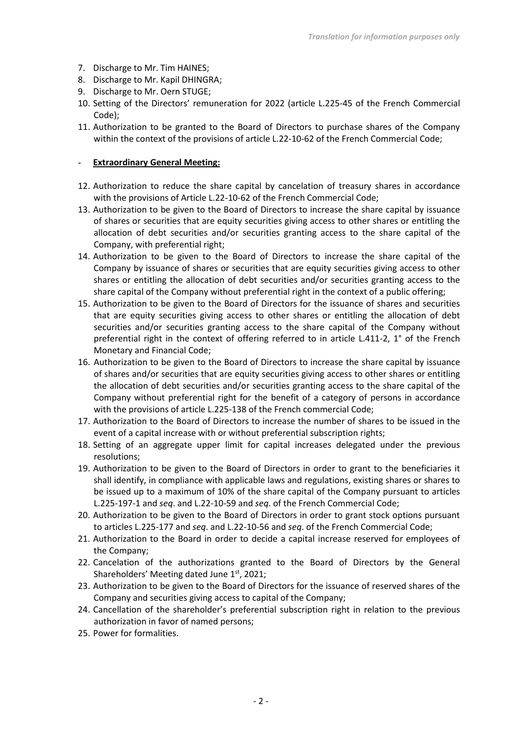- 7. Discharge to Mr. Tim HAINES;
- 8. Discharge to Mr. Kapil DHINGRA;
- 9. Discharge to Mr. Oern STUGE;
- 10. Setting of the Directors' remuneration for 2022 (article L.225-45 of the French Commercial Code);
- 11. Authorization to be granted to the Board of Directors to purchase shares of the Company within the context of the provisions of article L.22-10-62 of the French Commercial Code;

#### - **Extraordinary General Meeting:**

- 12. Authorization to reduce the share capital by cancelation of treasury shares in accordance with the provisions of Article L.22-10-62 of the French Commercial Code;
- 13. Authorization to be given to the Board of Directors to increase the share capital by issuance of shares or securities that are equity securities giving access to other shares or entitling the allocation of debt securities and/or securities granting access to the share capital of the Company, with preferential right;
- 14. Authorization to be given to the Board of Directors to increase the share capital of the Company by issuance of shares or securities that are equity securities giving access to other shares or entitling the allocation of debt securities and/or securities granting access to the share capital of the Company without preferential right in the context of a public offering;
- 15. Authorization to be given to the Board of Directors for the issuance of shares and securities that are equity securities giving access to other shares or entitling the allocation of debt securities and/or securities granting access to the share capital of the Company without preferential right in the context of offering referred to in article L.411-2, 1° of the French Monetary and Financial Code;
- 16. Authorization to be given to the Board of Directors to increase the share capital by issuance of shares and/or securities that are equity securities giving access to other shares or entitling the allocation of debt securities and/or securities granting access to the share capital of the Company without preferential right for the benefit of a category of persons in accordance with the provisions of article L.225-138 of the French commercial Code;
- 17. Authorization to the Board of Directors to increase the number of shares to be issued in the event of a capital increase with or without preferential subscription rights;
- 18. Setting of an aggregate upper limit for capital increases delegated under the previous resolutions;
- 19. Authorization to be given to the Board of Directors in order to grant to the beneficiaries it shall identify, in compliance with applicable laws and regulations, existing shares or shares to be issued up to a maximum of 10% of the share capital of the Company pursuant to articles L.225-197-1 and *seq*. and L.22-10-59 and *seq*. of the French Commercial Code;
- 20. Authorization to be given to the Board of Directors in order to grant stock options pursuant to articles L.225-177 and *seq*. and L.22-10-56 and *seq*. of the French Commercial Code;
- 21. Authorization to the Board in order to decide a capital increase reserved for employees of the Company;
- 22. Cancelation of the authorizations granted to the Board of Directors by the General Shareholders' Meeting dated June 1st, 2021;
- 23. Authorization to be given to the Board of Directors for the issuance of reserved shares of the Company and securities giving access to capital of the Company;
- 24. Cancellation of the shareholder's preferential subscription right in relation to the previous authorization in favor of named persons;
- 25. Power for formalities.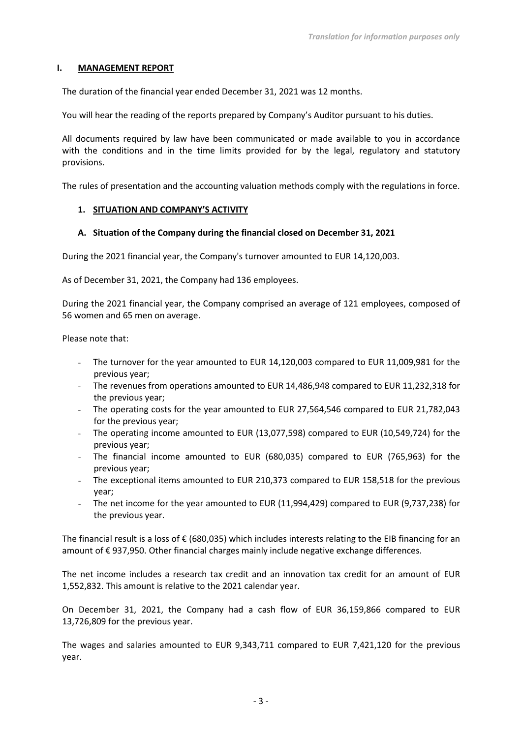### **I. MANAGEMENT REPORT**

The duration of the financial year ended December 31, 2021 was 12 months.

You will hear the reading of the reports prepared by Company's Auditor pursuant to his duties.

All documents required by law have been communicated or made available to you in accordance with the conditions and in the time limits provided for by the legal, regulatory and statutory provisions.

The rules of presentation and the accounting valuation methods comply with the regulations in force.

### **1. SITUATION AND COMPANY'S ACTIVITY**

### **A. Situation of the Company during the financial closed on December 31, 2021**

During the 2021 financial year, the Company's turnover amounted to EUR 14,120,003.

As of December 31, 2021, the Company had 136 employees.

During the 2021 financial year, the Company comprised an average of 121 employees, composed of 56 women and 65 men on average.

Please note that:

- The turnover for the year amounted to EUR 14,120,003 compared to EUR 11,009,981 for the previous year;
- The revenues from operations amounted to EUR 14,486,948 compared to EUR 11,232,318 for the previous year;
- The operating costs for the year amounted to EUR 27,564,546 compared to EUR 21,782,043 for the previous year;
- The operating income amounted to EUR (13,077,598) compared to EUR (10,549,724) for the previous year;
- The financial income amounted to EUR (680,035) compared to EUR (765,963) for the previous year;
- The exceptional items amounted to EUR 210,373 compared to EUR 158,518 for the previous year;
- The net income for the year amounted to EUR (11,994,429) compared to EUR (9,737,238) for the previous year.

The financial result is a loss of  $\epsilon$  (680,035) which includes interests relating to the EIB financing for an amount of € 937,950. Other financial charges mainly include negative exchange differences.

The net income includes a research tax credit and an innovation tax credit for an amount of EUR 1,552,832. This amount is relative to the 2021 calendar year.

On December 31, 2021, the Company had a cash flow of EUR 36,159,866 compared to EUR 13,726,809 for the previous year.

The wages and salaries amounted to EUR 9,343,711 compared to EUR 7,421,120 for the previous year.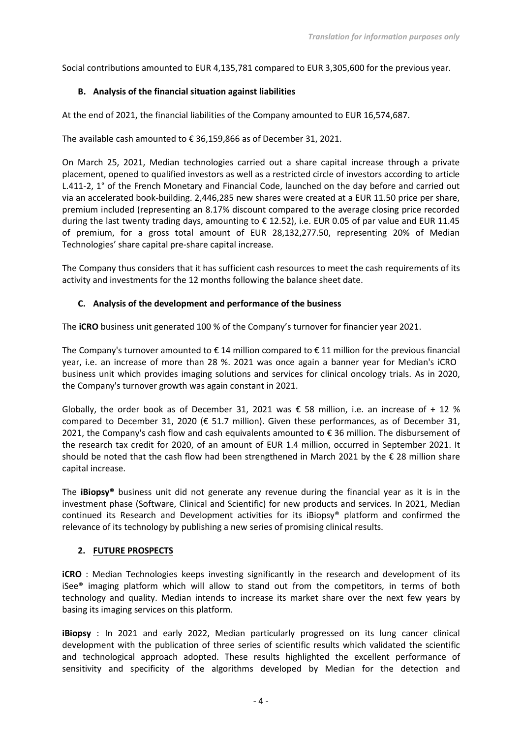Social contributions amounted to EUR 4,135,781 compared to EUR 3,305,600 for the previous year.

# **B. Analysis of the financial situation against liabilities**

At the end of 2021, the financial liabilities of the Company amounted to EUR 16,574,687.

The available cash amounted to € 36,159,866 as of December 31, 2021.

On March 25, 2021, Median technologies carried out a share capital increase through a private placement, opened to qualified investors as well as a restricted circle of investors according to article L.411-2, 1° of the French Monetary and Financial Code, launched on the day before and carried out via an accelerated book-building. 2,446,285 new shares were created at a EUR 11.50 price per share, premium included (representing an 8.17% discount compared to the average closing price recorded during the last twenty trading days, amounting to € 12.52), i.e. EUR 0.05 of par value and EUR 11.45 of premium, for a gross total amount of EUR 28,132,277.50, representing 20% of Median Technologies' share capital pre-share capital increase.

The Company thus considers that it has sufficient cash resources to meet the cash requirements of its activity and investments for the 12 months following the balance sheet date.

### **C. Analysis of the development and performance of the business**

The **iCRO** business unit generated 100 % of the Company's turnover for financier year 2021.

The Company's turnover amounted to  $\epsilon$  14 million compared to  $\epsilon$  11 million for the previous financial year, i.e. an increase of more than 28 %. 2021 was once again a banner year for Median's iCRO business unit which provides imaging solutions and services for clinical oncology trials. As in 2020, the Company's turnover growth was again constant in 2021.

Globally, the order book as of December 31, 2021 was  $\epsilon$  58 million, i.e. an increase of + 12 % compared to December 31, 2020 ( $\epsilon$  51.7 million). Given these performances, as of December 31, 2021, the Company's cash flow and cash equivalents amounted to € 36 million. The disbursement of the research tax credit for 2020, of an amount of EUR 1.4 million, occurred in September 2021. It should be noted that the cash flow had been strengthened in March 2021 by the € 28 million share capital increase.

The **iBiopsy®** business unit did not generate any revenue during the financial year as it is in the investment phase (Software, Clinical and Scientific) for new products and services. In 2021, Median continued its Research and Development activities for its iBiopsy® platform and confirmed the relevance of its technology by publishing a new series of promising clinical results.

# **2. FUTURE PROSPECTS**

**iCRO** : Median Technologies keeps investing significantly in the research and development of its iSee® imaging platform which will allow to stand out from the competitors, in terms of both technology and quality. Median intends to increase its market share over the next few years by basing its imaging services on this platform.

**iBiopsy** : In 2021 and early 2022, Median particularly progressed on its lung cancer clinical development with the publication of three series of scientific results which validated the scientific and technological approach adopted. These results highlighted the excellent performance of sensitivity and specificity of the algorithms developed by Median for the detection and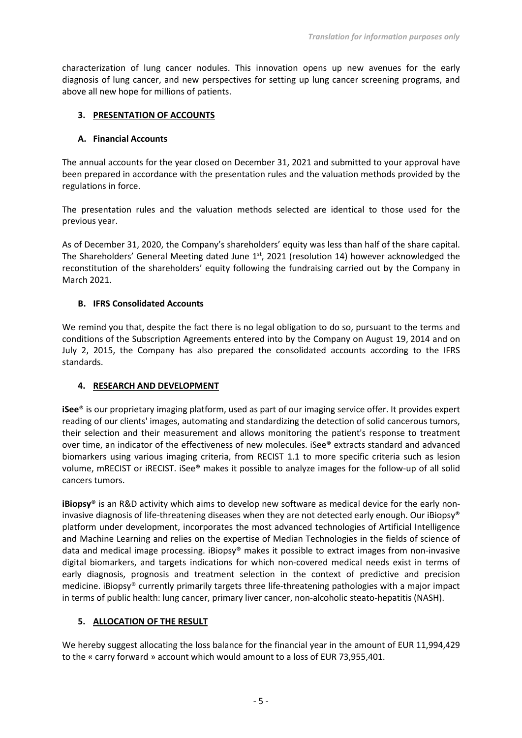characterization of lung cancer nodules. This innovation opens up new avenues for the early diagnosis of lung cancer, and new perspectives for setting up lung cancer screening programs, and above all new hope for millions of patients.

### **3. PRESENTATION OF ACCOUNTS**

### **A. Financial Accounts**

The annual accounts for the year closed on December 31, 2021 and submitted to your approval have been prepared in accordance with the presentation rules and the valuation methods provided by the regulations in force.

The presentation rules and the valuation methods selected are identical to those used for the previous year.

As of December 31, 2020, the Company's shareholders' equity was less than half of the share capital. The Shareholders' General Meeting dated June  $1<sup>st</sup>$ , 2021 (resolution 14) however acknowledged the reconstitution of the shareholders' equity following the fundraising carried out by the Company in March 2021.

### **B. IFRS Consolidated Accounts**

We remind you that, despite the fact there is no legal obligation to do so, pursuant to the terms and conditions of the Subscription Agreements entered into by the Company on August 19, 2014 and on July 2, 2015, the Company has also prepared the consolidated accounts according to the IFRS standards.

# **4. RESEARCH AND DEVELOPMENT**

**iSee**® is our proprietary imaging platform, used as part of our imaging service offer. It provides expert reading of our clients' images, automating and standardizing the detection of solid cancerous tumors, their selection and their measurement and allows monitoring the patient's response to treatment over time, an indicator of the effectiveness of new molecules. iSee® extracts standard and advanced biomarkers using various imaging criteria, from RECIST 1.1 to more specific criteria such as lesion volume, mRECIST or iRECIST. iSee® makes it possible to analyze images for the follow-up of all solid cancers tumors.

**iBiopsy**® is an R&D activity which aims to develop new software as medical device for the early noninvasive diagnosis of life-threatening diseases when they are not detected early enough. Our iBiopsy® platform under development, incorporates the most advanced technologies of Artificial Intelligence and Machine Learning and relies on the expertise of Median Technologies in the fields of science of data and medical image processing. iBiopsy® makes it possible to extract images from non-invasive digital biomarkers, and targets indications for which non-covered medical needs exist in terms of early diagnosis, prognosis and treatment selection in the context of predictive and precision medicine. iBiopsy® currently primarily targets three life-threatening pathologies with a major impact in terms of public health: lung cancer, primary liver cancer, non-alcoholic steato-hepatitis (NASH).

# **5. ALLOCATION OF THE RESULT**

We hereby suggest allocating the loss balance for the financial year in the amount of EUR 11,994,429 to the « carry forward » account which would amount to a loss of EUR 73,955,401.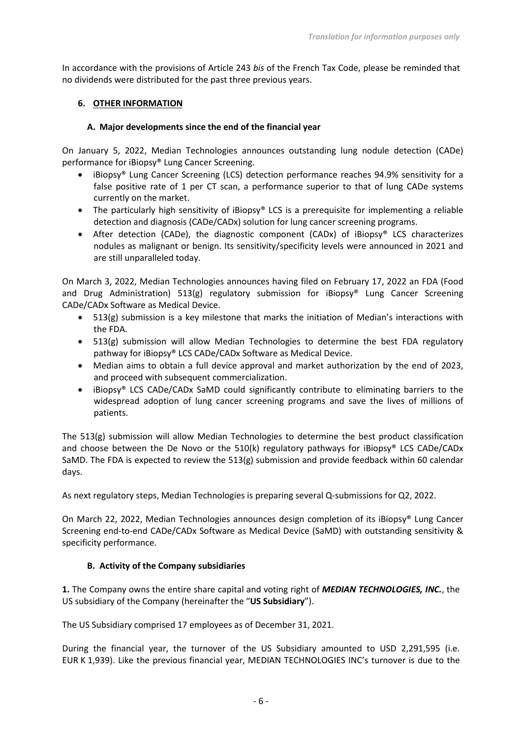In accordance with the provisions of Article 243 *bis* of the French Tax Code, please be reminded that no dividends were distributed for the past three previous years.

### **6. OTHER INFORMATION**

### **A. Major developments since the end of the financial year**

On January 5, 2022, Median Technologies announces outstanding lung nodule detection (CADe) performance for iBiopsy® Lung Cancer Screening.

- iBiopsy® Lung Cancer Screening (LCS) detection performance reaches 94.9% sensitivity for a false positive rate of 1 per CT scan, a performance superior to that of lung CADe systems currently on the market.
- The particularly high sensitivity of iBiopsy® LCS is a prerequisite for implementing a reliable detection and diagnosis (CADe/CADx) solution for lung cancer screening programs.
- After detection (CADe), the diagnostic component (CADx) of iBiopsy® LCS characterizes nodules as malignant or benign. Its sensitivity/specificity levels were announced in 2021 and are still unparalleled today.

On March 3, 2022, Median Technologies announces having filed on February 17, 2022 an FDA (Food and Drug Administration) 513(g) regulatory submission for iBiopsy® Lung Cancer Screening CADe/CADx Software as Medical Device.

- 513(g) submission is a key milestone that marks the initiation of Median's interactions with the FDA.
- 513(g) submission will allow Median Technologies to determine the best FDA regulatory pathway for iBiopsy® LCS CADe/CADx Software as Medical Device.
- Median aims to obtain a full device approval and market authorization by the end of 2023, and proceed with subsequent commercialization.
- iBiopsy® LCS CADe/CADx SaMD could significantly contribute to eliminating barriers to the widespread adoption of lung cancer screening programs and save the lives of millions of patients.

The 513(g) submission will allow Median Technologies to determine the best product classification and choose between the De Novo or the 510(k) regulatory pathways for iBiopsy® LCS CADe/CADx SaMD. The FDA is expected to review the 513(g) submission and provide feedback within 60 calendar days.

As next regulatory steps, Median Technologies is preparing several Q-submissions for Q2, 2022.

On March 22, 2022, Median Technologies announces design completion of its iBiopsy® Lung Cancer Screening end-to-end CADe/CADx Software as Medical Device (SaMD) with outstanding sensitivity & specificity performance.

# **B. Activity of the Company subsidiaries**

**1.** The Company owns the entire share capital and voting right of *MEDIAN TECHNOLOGIES, INC.*, the US subsidiary of the Company (hereinafter the "**US Subsidiary**").

The US Subsidiary comprised 17 employees as of December 31, 2021.

During the financial year, the turnover of the US Subsidiary amounted to USD 2,291,595 (i.e. EUR K 1,939). Like the previous financial year, MEDIAN TECHNOLOGIES INC's turnover is due to the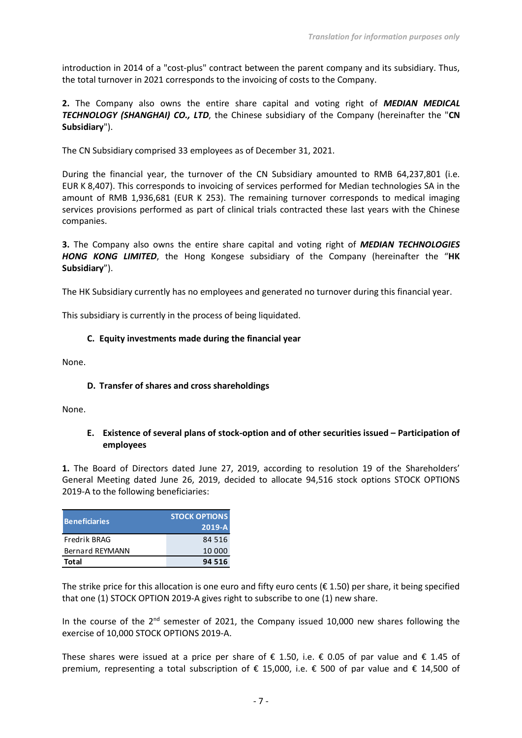introduction in 2014 of a "cost-plus" contract between the parent company and its subsidiary. Thus, the total turnover in 2021 corresponds to the invoicing of costs to the Company.

**2.** The Company also owns the entire share capital and voting right of *MEDIAN MEDICAL TECHNOLOGY (SHANGHAI) CO., LTD*, the Chinese subsidiary of the Company (hereinafter the "**CN Subsidiary**").

The CN Subsidiary comprised 33 employees as of December 31, 2021.

During the financial year, the turnover of the CN Subsidiary amounted to RMB 64,237,801 (i.e. EUR K 8,407). This corresponds to invoicing of services performed for Median technologies SA in the amount of RMB 1,936,681 (EUR K 253). The remaining turnover corresponds to medical imaging services provisions performed as part of clinical trials contracted these last years with the Chinese companies.

**3.** The Company also owns the entire share capital and voting right of *MEDIAN TECHNOLOGIES HONG KONG LIMITED*, the Hong Kongese subsidiary of the Company (hereinafter the "**HK Subsidiary**").

The HK Subsidiary currently has no employees and generated no turnover during this financial year.

This subsidiary is currently in the process of being liquidated.

### **C. Equity investments made during the financial year**

None.

#### **D. Transfer of shares and cross shareholdings**

None.

### **E. Existence of several plans of stock-option and of other securities issued – Participation of employees**

**1.** The Board of Directors dated June 27, 2019, according to resolution 19 of the Shareholders' General Meeting dated June 26, 2019, decided to allocate 94,516 stock options STOCK OPTIONS 2019-A to the following beneficiaries:

| <b>Beneficiaries</b>   | <b>STOCK OPTIONS</b><br>$2019-A$ |
|------------------------|----------------------------------|
| Fredrik BRAG           | 84 516                           |
| <b>Bernard REYMANN</b> | 10 000                           |
| <b>Total</b>           | 94 516                           |

The strike price for this allocation is one euro and fifty euro cents ( $\epsilon$  1.50) per share, it being specified that one (1) STOCK OPTION 2019-A gives right to subscribe to one (1) new share.

In the course of the  $2^{nd}$  semester of 2021, the Company issued 10,000 new shares following the exercise of 10,000 STOCK OPTIONS 2019-A.

These shares were issued at a price per share of  $\epsilon$  1.50, i.e.  $\epsilon$  0.05 of par value and  $\epsilon$  1.45 of premium, representing a total subscription of € 15,000, i.e. € 500 of par value and € 14,500 of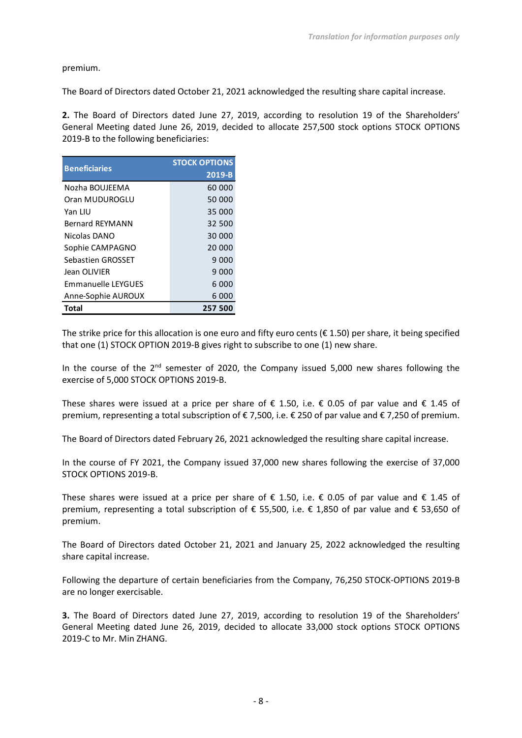premium.

The Board of Directors dated October 21, 2021 acknowledged the resulting share capital increase.

**2.** The Board of Directors dated June 27, 2019, according to resolution 19 of the Shareholders' General Meeting dated June 26, 2019, decided to allocate 257,500 stock options STOCK OPTIONS 2019-B to the following beneficiaries:

| <b>Beneficiaries</b>      | <b>STOCK OPTIONS</b> |  |
|---------------------------|----------------------|--|
|                           | 2019-B               |  |
| Nozha BOUJEEMA            | 60 000               |  |
| Oran MUDUROGLU            | 50 000               |  |
| Yan I IU                  | 35 000               |  |
| <b>Bernard RFYMANN</b>    | 32 500               |  |
| Nicolas DANO              | 30 000               |  |
| Sophie CAMPAGNO           | 20 000               |  |
| Sebastien GROSSET         | 9 000                |  |
| Jean OLIVIER              | 9 000                |  |
| <b>Emmanuelle LEYGUFS</b> | 6000                 |  |
| Anne-Sophie AUROUX        | 6 000                |  |
| Total                     | 257 500              |  |

The strike price for this allocation is one euro and fifty euro cents ( $\epsilon$  1.50) per share, it being specified that one (1) STOCK OPTION 2019-B gives right to subscribe to one (1) new share.

In the course of the  $2^{nd}$  semester of 2020, the Company issued 5,000 new shares following the exercise of 5,000 STOCK OPTIONS 2019-B.

These shares were issued at a price per share of  $\epsilon$  1.50, i.e.  $\epsilon$  0.05 of par value and  $\epsilon$  1.45 of premium, representing a total subscription of € 7,500, i.e. € 250 of par value and € 7,250 of premium.

The Board of Directors dated February 26, 2021 acknowledged the resulting share capital increase.

In the course of FY 2021, the Company issued 37,000 new shares following the exercise of 37,000 STOCK OPTIONS 2019-B.

These shares were issued at a price per share of  $\epsilon$  1.50, i.e.  $\epsilon$  0.05 of par value and  $\epsilon$  1.45 of premium, representing a total subscription of € 55,500, i.e. € 1,850 of par value and € 53,650 of premium.

The Board of Directors dated October 21, 2021 and January 25, 2022 acknowledged the resulting share capital increase.

Following the departure of certain beneficiaries from the Company, 76,250 STOCK-OPTIONS 2019-B are no longer exercisable.

**3.** The Board of Directors dated June 27, 2019, according to resolution 19 of the Shareholders' General Meeting dated June 26, 2019, decided to allocate 33,000 stock options STOCK OPTIONS 2019-C to Mr. Min ZHANG.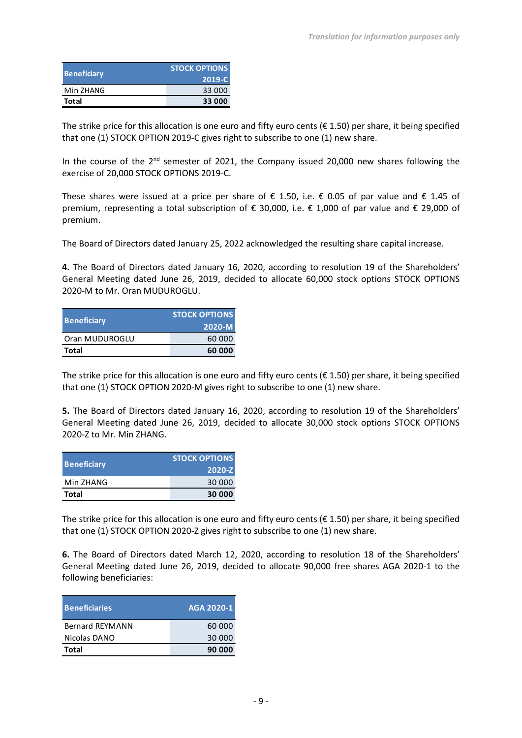| <b>Beneficiary</b> | <b>STOCK OPTIONS</b> |  |
|--------------------|----------------------|--|
|                    | 2019-C               |  |
| Min ZHANG          | 33 000               |  |
| Total              | 33 000               |  |

The strike price for this allocation is one euro and fifty euro cents ( $\epsilon$  1.50) per share, it being specified that one (1) STOCK OPTION 2019-C gives right to subscribe to one (1) new share.

In the course of the  $2<sup>nd</sup>$  semester of 2021, the Company issued 20,000 new shares following the exercise of 20,000 STOCK OPTIONS 2019-C.

These shares were issued at a price per share of  $\epsilon$  1.50, i.e.  $\epsilon$  0.05 of par value and  $\epsilon$  1.45 of premium, representing a total subscription of  $\epsilon$  30,000, i.e.  $\epsilon$  1,000 of par value and  $\epsilon$  29,000 of premium.

The Board of Directors dated January 25, 2022 acknowledged the resulting share capital increase.

**4.** The Board of Directors dated January 16, 2020, according to resolution 19 of the Shareholders' General Meeting dated June 26, 2019, decided to allocate 60,000 stock options STOCK OPTIONS 2020-M to Mr. Oran MUDUROGLU.

| <b>Beneficiary</b> | <b>STOCK OPTIONS</b><br>2020-M |
|--------------------|--------------------------------|
| Oran MUDUROGLU     | 60 000                         |
| <b>Total</b>       | 60 000                         |

The strike price for this allocation is one euro and fifty euro cents ( $\epsilon$  1.50) per share, it being specified that one (1) STOCK OPTION 2020-M gives right to subscribe to one (1) new share.

**5.** The Board of Directors dated January 16, 2020, according to resolution 19 of the Shareholders' General Meeting dated June 26, 2019, decided to allocate 30,000 stock options STOCK OPTIONS 2020-Z to Mr. Min ZHANG.

| <b>Beneficiary</b> | <b>STOCK OPTIONS</b> |  |
|--------------------|----------------------|--|
|                    | 2020-Z               |  |
| Min ZHANG          | 30 000               |  |
| <b>Total</b>       | 30 000               |  |

The strike price for this allocation is one euro and fifty euro cents ( $\epsilon$  1.50) per share, it being specified that one (1) STOCK OPTION 2020-Z gives right to subscribe to one (1) new share.

**6.** The Board of Directors dated March 12, 2020, according to resolution 18 of the Shareholders' General Meeting dated June 26, 2019, decided to allocate 90,000 free shares AGA 2020-1 to the following beneficiaries:

| <b>Beneficiaries</b> | AGA 2020-1 |
|----------------------|------------|
| Bernard REYMANN      | 60 000     |
| Nicolas DANO         | 30 000     |
| Total                | 90 000     |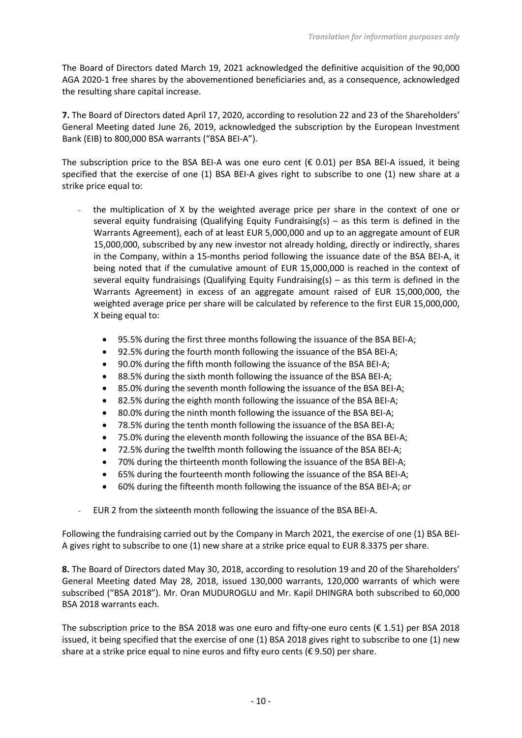The Board of Directors dated March 19, 2021 acknowledged the definitive acquisition of the 90,000 AGA 2020-1 free shares by the abovementioned beneficiaries and, as a consequence, acknowledged the resulting share capital increase.

**7.** The Board of Directors dated April 17, 2020, according to resolution 22 and 23 of the Shareholders' General Meeting dated June 26, 2019, acknowledged the subscription by the European Investment Bank (EIB) to 800,000 BSA warrants ("BSA BEI-A").

The subscription price to the BSA BEI-A was one euro cent ( $\epsilon$  0.01) per BSA BEI-A issued, it being specified that the exercise of one (1) BSA BEI-A gives right to subscribe to one (1) new share at a strike price equal to:

- the multiplication of X by the weighted average price per share in the context of one or several equity fundraising (Qualifying Equity Fundraising(s) – as this term is defined in the Warrants Agreement), each of at least EUR 5,000,000 and up to an aggregate amount of EUR 15,000,000, subscribed by any new investor not already holding, directly or indirectly, shares in the Company, within a 15-months period following the issuance date of the BSA BEI-A, it being noted that if the cumulative amount of EUR 15,000,000 is reached in the context of several equity fundraisings (Qualifying Equity Fundraising(s) – as this term is defined in the Warrants Agreement) in excess of an aggregate amount raised of EUR 15,000,000, the weighted average price per share will be calculated by reference to the first EUR 15,000,000, X being equal to:
	- 95.5% during the first three months following the issuance of the BSA BEI-A;
	- 92.5% during the fourth month following the issuance of the BSA BEI-A;
	- 90.0% during the fifth month following the issuance of the BSA BEI-A;
	- 88.5% during the sixth month following the issuance of the BSA BEI-A;
	- 85.0% during the seventh month following the issuance of the BSA BEI-A;
	- 82.5% during the eighth month following the issuance of the BSA BEI-A;
	- 80.0% during the ninth month following the issuance of the BSA BEI-A;
	- 78.5% during the tenth month following the issuance of the BSA BEI-A;
	- 75.0% during the eleventh month following the issuance of the BSA BEI-A;
	- 72.5% during the twelfth month following the issuance of the BSA BEI-A;
	- 70% during the thirteenth month following the issuance of the BSA BEI-A;
	- 65% during the fourteenth month following the issuance of the BSA BEI-A;
	- 60% during the fifteenth month following the issuance of the BSA BEI-A; or
- EUR 2 from the sixteenth month following the issuance of the BSA BEI-A.

Following the fundraising carried out by the Company in March 2021, the exercise of one (1) BSA BEI-A gives right to subscribe to one (1) new share at a strike price equal to EUR 8.3375 per share.

**8.** The Board of Directors dated May 30, 2018, according to resolution 19 and 20 of the Shareholders' General Meeting dated May 28, 2018, issued 130,000 warrants, 120,000 warrants of which were subscribed ("BSA 2018"). Mr. Oran MUDUROGLU and Mr. Kapil DHINGRA both subscribed to 60,000 BSA 2018 warrants each.

The subscription price to the BSA 2018 was one euro and fifty-one euro cents ( $\epsilon$  1.51) per BSA 2018 issued, it being specified that the exercise of one (1) BSA 2018 gives right to subscribe to one (1) new share at a strike price equal to nine euros and fifty euro cents ( $\epsilon$  9.50) per share.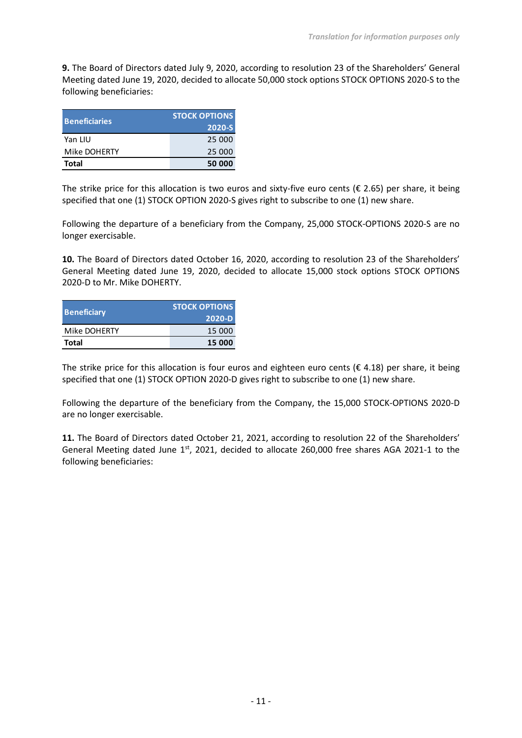**9.** The Board of Directors dated July 9, 2020, according to resolution 23 of the Shareholders' General Meeting dated June 19, 2020, decided to allocate 50,000 stock options STOCK OPTIONS 2020-S to the following beneficiaries:

| <b>Beneficiaries</b> | <b>STOCK OPTIONS</b><br>2020-S |  |
|----------------------|--------------------------------|--|
| Yan LIU              | 25 000                         |  |
| Mike DOHERTY         | 25 000                         |  |
| Total                | 50 000                         |  |

The strike price for this allocation is two euros and sixty-five euro cents ( $\epsilon$  2.65) per share, it being specified that one (1) STOCK OPTION 2020-S gives right to subscribe to one (1) new share.

Following the departure of a beneficiary from the Company, 25,000 STOCK-OPTIONS 2020-S are no longer exercisable.

**10.** The Board of Directors dated October 16, 2020, according to resolution 23 of the Shareholders' General Meeting dated June 19, 2020, decided to allocate 15,000 stock options STOCK OPTIONS 2020-D to Mr. Mike DOHERTY.

| <b>Beneficiary</b> | <b>STOCK OPTIONS</b> |  |
|--------------------|----------------------|--|
|                    | 2020-D               |  |
| Mike DOHERTY       | 15 000               |  |
| Total              | 15 000               |  |

The strike price for this allocation is four euros and eighteen euro cents ( $\epsilon$  4.18) per share, it being specified that one (1) STOCK OPTION 2020-D gives right to subscribe to one (1) new share.

Following the departure of the beneficiary from the Company, the 15,000 STOCK-OPTIONS 2020-D are no longer exercisable.

**11.** The Board of Directors dated October 21, 2021, according to resolution 22 of the Shareholders' General Meeting dated June  $1^{st}$ , 2021, decided to allocate 260,000 free shares AGA 2021-1 to the following beneficiaries: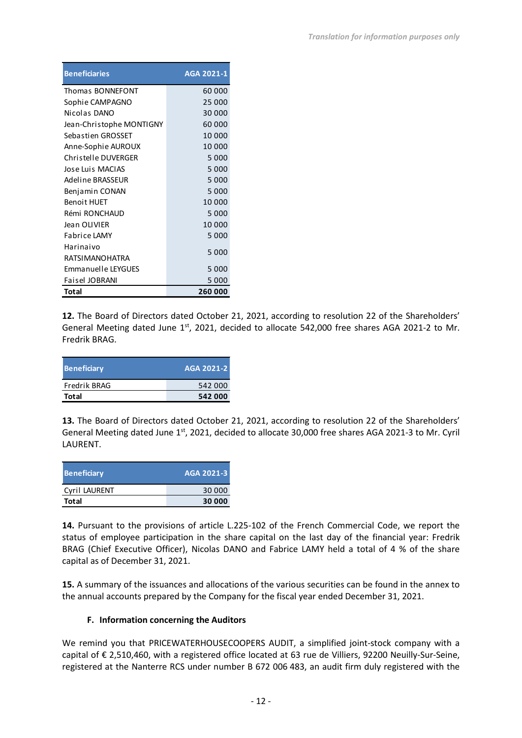| <b>Beneficiaries</b>      | AGA 2021-1 |
|---------------------------|------------|
| Thomas BONNEFONT          | 60 000     |
| Sophie CAMPAGNO           | 25 000     |
| Nicolas DANO              | 30 000     |
| Jean-Christophe MONTIGNY  | 60 000     |
| Sebastien GROSSET         | 10 000     |
| Anne-Sophie AUROUX        | 10 000     |
| Christelle DUVERGER       | 5 0 0 0    |
| Jose Luis MACIAS          | 5 0 0 0    |
| Adeline BRASSEUR          | 5 000      |
| Benjamin CONAN            | 5 000      |
| <b>Benoit HUET</b>        | 10 000     |
| Rémi RONCHAUD             | 5 000      |
| Jean OLIVIER              | 10 000     |
| Fabrice LAMY              | 5 000      |
| Harinaivo                 | 5 0 0 0    |
| <b>RATSIMANOHATRA</b>     |            |
| <b>Emmanuelle LEYGUES</b> | 5 000      |
| Faisel JOBRANI            | 5 000      |
| Total                     | 260 000    |

**12.** The Board of Directors dated October 21, 2021, according to resolution 22 of the Shareholders' General Meeting dated June  $1<sup>st</sup>$ , 2021, decided to allocate 542,000 free shares AGA 2021-2 to Mr. Fredrik BRAG.

| <b>Beneficiary</b> | AGA 2021-2 |
|--------------------|------------|
| Fredrik BRAG       | 542 000    |
| Total              | 542 000    |

**13.** The Board of Directors dated October 21, 2021, according to resolution 22 of the Shareholders' General Meeting dated June  $1<sup>st</sup>$ , 2021, decided to allocate 30,000 free shares AGA 2021-3 to Mr. Cyril LAURENT.

| Beneficiary   | AGA 2021-3 |
|---------------|------------|
| Cyril LAURENT | 30 000     |
| Total         | 30 000     |

**14.** Pursuant to the provisions of article L.225-102 of the French Commercial Code, we report the status of employee participation in the share capital on the last day of the financial year: Fredrik BRAG (Chief Executive Officer), Nicolas DANO and Fabrice LAMY held a total of 4 % of the share capital as of December 31, 2021.

**15.** A summary of the issuances and allocations of the various securities can be found in the annex to the annual accounts prepared by the Company for the fiscal year ended December 31, 2021.

# **F. Information concerning the Auditors**

We remind you that PRICEWATERHOUSECOOPERS AUDIT, a simplified joint-stock company with a capital of € 2,510,460, with a registered office located at 63 rue de Villiers, 92200 Neuilly-Sur-Seine, registered at the Nanterre RCS under number B 672 006 483, an audit firm duly registered with the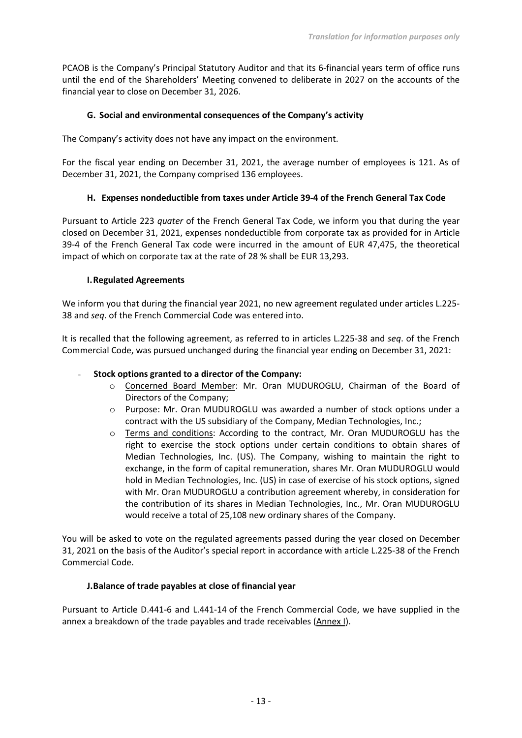PCAOB is the Company's Principal Statutory Auditor and that its 6-financial years term of office runs until the end of the Shareholders' Meeting convened to deliberate in 2027 on the accounts of the financial year to close on December 31, 2026.

### **G. Social and environmental consequences of the Company's activity**

The Company's activity does not have any impact on the environment.

For the fiscal year ending on December 31, 2021, the average number of employees is 121. As of December 31, 2021, the Company comprised 136 employees.

### **H. Expenses nondeductible from taxes under Article 39-4 of the French General Tax Code**

Pursuant to Article 223 *quater* of the French General Tax Code, we inform you that during the year closed on December 31, 2021, expenses nondeductible from corporate tax as provided for in Article 39-4 of the French General Tax code were incurred in the amount of EUR 47,475, the theoretical impact of which on corporate tax at the rate of 28 % shall be EUR 13,293.

#### **I.Regulated Agreements**

We inform you that during the financial year 2021, no new agreement regulated under articles L.225- 38 and *seq*. of the French Commercial Code was entered into.

It is recalled that the following agreement, as referred to in articles L.225-38 and *seq*. of the French Commercial Code, was pursued unchanged during the financial year ending on December 31, 2021:

#### - **Stock options granted to a director of the Company:**

- o Concerned Board Member: Mr. Oran MUDUROGLU, Chairman of the Board of Directors of the Company;
- o Purpose: Mr. Oran MUDUROGLU was awarded a number of stock options under a contract with the US subsidiary of the Company, Median Technologies, Inc.;
- o Terms and conditions: According to the contract, Mr. Oran MUDUROGLU has the right to exercise the stock options under certain conditions to obtain shares of Median Technologies, Inc. (US). The Company, wishing to maintain the right to exchange, in the form of capital remuneration, shares Mr. Oran MUDUROGLU would hold in Median Technologies, Inc. (US) in case of exercise of his stock options, signed with Mr. Oran MUDUROGLU a contribution agreement whereby, in consideration for the contribution of its shares in Median Technologies, Inc., Mr. Oran MUDUROGLU would receive a total of 25,108 new ordinary shares of the Company.

You will be asked to vote on the regulated agreements passed during the year closed on December 31, 2021 on the basis of the Auditor's special report in accordance with article L.225-38 of the French Commercial Code.

#### **J.Balance of trade payables at close of financial year**

Pursuant to Article D.441-6 and L.441-14 of the French Commercial Code, we have supplied in the annex a breakdown of the trade payables and trade receivables (Annex I).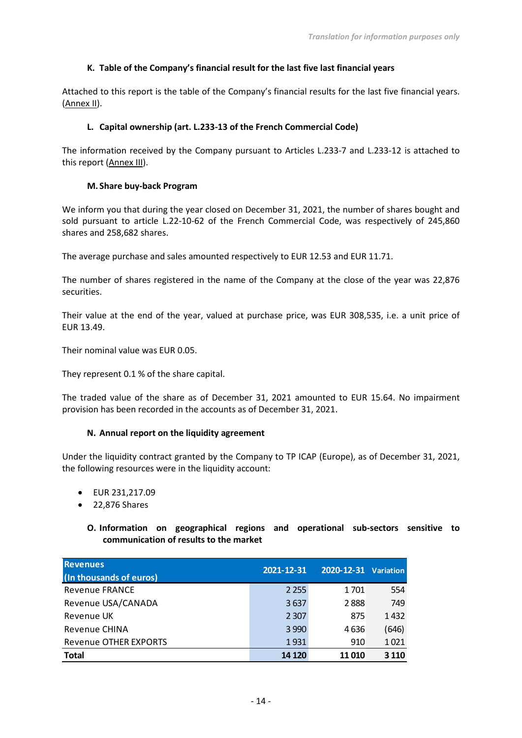# **K. Table of the Company's financial result for the last five last financial years**

Attached to this report is the table of the Company's financial results for the last five financial years. (Annex II).

### **L. Capital ownership (art. L.233-13 of the French Commercial Code)**

The information received by the Company pursuant to Articles L.233-7 and L.233-12 is attached to this report (Annex III).

### **M. Share buy-back Program**

We inform you that during the year closed on December 31, 2021, the number of shares bought and sold pursuant to article L.22-10-62 of the French Commercial Code, was respectively of 245,860 shares and 258,682 shares.

The average purchase and sales amounted respectively to EUR 12.53 and EUR 11.71.

The number of shares registered in the name of the Company at the close of the year was 22,876 securities.

Their value at the end of the year, valued at purchase price, was EUR 308,535, i.e. a unit price of EUR 13.49.

Their nominal value was EUR 0.05.

They represent 0.1 % of the share capital.

The traded value of the share as of December 31, 2021 amounted to EUR 15.64. No impairment provision has been recorded in the accounts as of December 31, 2021.

#### **N. Annual report on the liquidity agreement**

Under the liquidity contract granted by the Company to TP ICAP (Europe), as of December 31, 2021, the following resources were in the liquidity account:

- EUR 231,217.09
- 22,876 Shares

**O. Information on geographical regions and operational sub-sectors sensitive to communication of results to the market**

| <b>Revenues</b><br>(In thousands of euros) | 2021-12-31 | 2020-12-31 Variation |         |
|--------------------------------------------|------------|----------------------|---------|
| <b>Revenue FRANCE</b>                      | 2 2 5 5    | 1701                 | 554     |
| Revenue USA/CANADA                         | 3637       | 2888                 | 749     |
| Revenue UK                                 | 2 3 0 7    | 875                  | 1432    |
| <b>Revenue CHINA</b>                       | 3 9 9 0    | 4636                 | (646)   |
| <b>Revenue OTHER EXPORTS</b>               | 1931       | 910                  | 1021    |
| <b>Total</b>                               | 14 1 20    | 11 010               | 3 1 1 0 |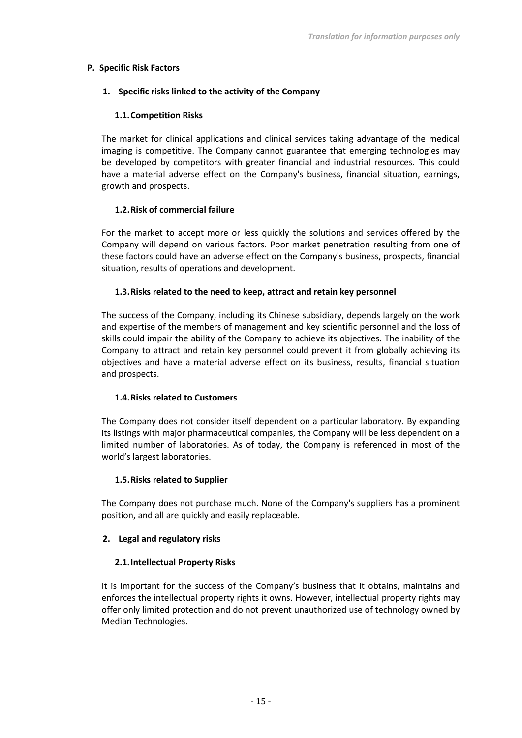#### **P. Specific Risk Factors**

#### **1. Specific risks linked to the activity of the Company**

#### **1.1.Competition Risks**

The market for clinical applications and clinical services taking advantage of the medical imaging is competitive. The Company cannot guarantee that emerging technologies may be developed by competitors with greater financial and industrial resources. This could have a material adverse effect on the Company's business, financial situation, earnings, growth and prospects.

#### **1.2.Risk of commercial failure**

For the market to accept more or less quickly the solutions and services offered by the Company will depend on various factors. Poor market penetration resulting from one of these factors could have an adverse effect on the Company's business, prospects, financial situation, results of operations and development.

#### **1.3.Risks related to the need to keep, attract and retain key personnel**

The success of the Company, including its Chinese subsidiary, depends largely on the work and expertise of the members of management and key scientific personnel and the loss of skills could impair the ability of the Company to achieve its objectives. The inability of the Company to attract and retain key personnel could prevent it from globally achieving its objectives and have a material adverse effect on its business, results, financial situation and prospects.

#### **1.4.Risks related to Customers**

The Company does not consider itself dependent on a particular laboratory. By expanding its listings with major pharmaceutical companies, the Company will be less dependent on a limited number of laboratories. As of today, the Company is referenced in most of the world's largest laboratories.

#### **1.5.Risks related to Supplier**

The Company does not purchase much. None of the Company's suppliers has a prominent position, and all are quickly and easily replaceable.

#### **2. Legal and regulatory risks**

#### **2.1.Intellectual Property Risks**

It is important for the success of the Company's business that it obtains, maintains and enforces the intellectual property rights it owns. However, intellectual property rights may offer only limited protection and do not prevent unauthorized use of technology owned by Median Technologies.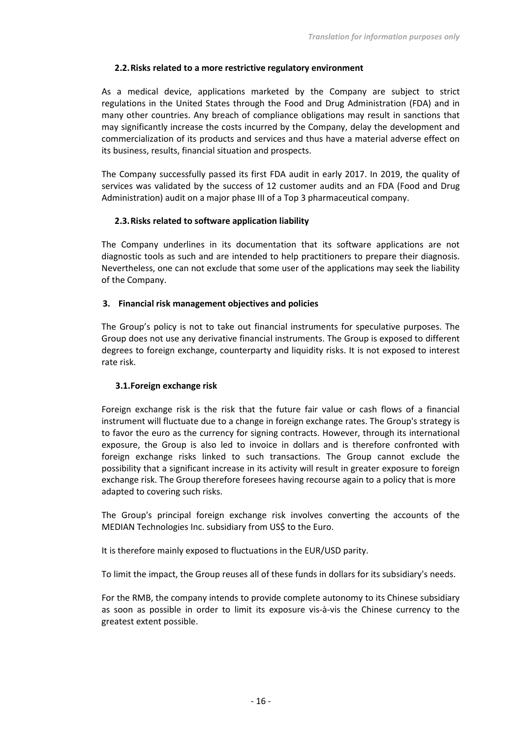### **2.2.Risks related to a more restrictive regulatory environment**

As a medical device, applications marketed by the Company are subject to strict regulations in the United States through the Food and Drug Administration (FDA) and in many other countries. Any breach of compliance obligations may result in sanctions that may significantly increase the costs incurred by the Company, delay the development and commercialization of its products and services and thus have a material adverse effect on its business, results, financial situation and prospects.

The Company successfully passed its first FDA audit in early 2017. In 2019, the quality of services was validated by the success of 12 customer audits and an FDA (Food and Drug Administration) audit on a major phase III of a Top 3 pharmaceutical company.

### **2.3.Risks related to software application liability**

The Company underlines in its documentation that its software applications are not diagnostic tools as such and are intended to help practitioners to prepare their diagnosis. Nevertheless, one can not exclude that some user of the applications may seek the liability of the Company.

### **3. Financial risk management objectives and policies**

The Group's policy is not to take out financial instruments for speculative purposes. The Group does not use any derivative financial instruments. The Group is exposed to different degrees to foreign exchange, counterparty and liquidity risks. It is not exposed to interest rate risk.

#### **3.1.Foreign exchange risk**

Foreign exchange risk is the risk that the future fair value or cash flows of a financial instrument will fluctuate due to a change in foreign exchange rates. The Group's strategy is to favor the euro as the currency for signing contracts. However, through its international exposure, the Group is also led to invoice in dollars and is therefore confronted with foreign exchange risks linked to such transactions. The Group cannot exclude the possibility that a significant increase in its activity will result in greater exposure to foreign exchange risk. The Group therefore foresees having recourse again to a policy that is more adapted to covering such risks.

The Group's principal foreign exchange risk involves converting the accounts of the MEDIAN Technologies Inc. subsidiary from US\$ to the Euro.

It is therefore mainly exposed to fluctuations in the EUR/USD parity.

To limit the impact, the Group reuses all of these funds in dollars for its subsidiary's needs.

For the RMB, the company intends to provide complete autonomy to its Chinese subsidiary as soon as possible in order to limit its exposure vis-à-vis the Chinese currency to the greatest extent possible.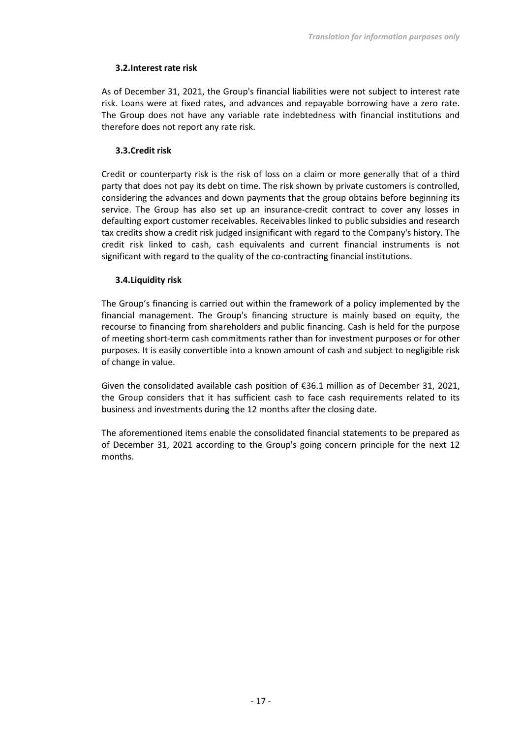### **3.2.Interest rate risk**

As of December 31, 2021, the Group's financial liabilities were not subject to interest rate risk. Loans were at fixed rates, and advances and repayable borrowing have a zero rate. The Group does not have any variable rate indebtedness with financial institutions and therefore does not report any rate risk.

### **3.3.Credit risk**

Credit or counterparty risk is the risk of loss on a claim or more generally that of a third party that does not pay its debt on time. The risk shown by private customers is controlled, considering the advances and down payments that the group obtains before beginning its service. The Group has also set up an insurance-credit contract to cover any losses in defaulting export customer receivables. Receivables linked to public subsidies and research tax credits show a credit risk judged insignificant with regard to the Company's history. The credit risk linked to cash, cash equivalents and current financial instruments is not significant with regard to the quality of the co-contracting financial institutions.

### **3.4.Liquidity risk**

The Group's financing is carried out within the framework of a policy implemented by the financial management. The Group's financing structure is mainly based on equity, the recourse to financing from shareholders and public financing. Cash is held for the purpose of meeting short-term cash commitments rather than for investment purposes or for other purposes. It is easily convertible into a known amount of cash and subject to negligible risk of change in value.

Given the consolidated available cash position of €36.1 million as of December 31, 2021, the Group considers that it has sufficient cash to face cash requirements related to its business and investments during the 12 months after the closing date.

The aforementioned items enable the consolidated financial statements to be prepared as of December 31, 2021 according to the Group's going concern principle for the next 12 months.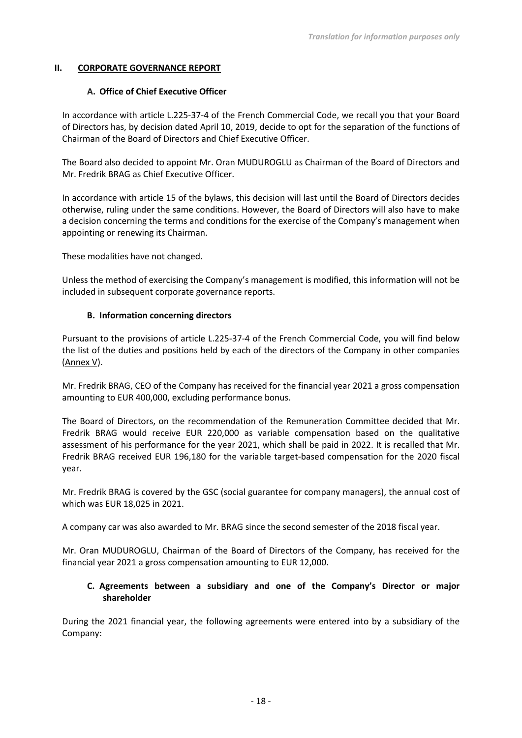#### **II. CORPORATE GOVERNANCE REPORT**

#### **A. Office of Chief Executive Officer**

In accordance with article L.225-37-4 of the French Commercial Code, we recall you that your Board of Directors has, by decision dated April 10, 2019, decide to opt for the separation of the functions of Chairman of the Board of Directors and Chief Executive Officer.

The Board also decided to appoint Mr. Oran MUDUROGLU as Chairman of the Board of Directors and Mr. Fredrik BRAG as Chief Executive Officer.

In accordance with article 15 of the bylaws, this decision will last until the Board of Directors decides otherwise, ruling under the same conditions. However, the Board of Directors will also have to make a decision concerning the terms and conditions for the exercise of the Company's management when appointing or renewing its Chairman.

These modalities have not changed.

Unless the method of exercising the Company's management is modified, this information will not be included in subsequent corporate governance reports.

#### **B. Information concerning directors**

Pursuant to the provisions of article L.225-37-4 of the French Commercial Code, you will find below the list of the duties and positions held by each of the directors of the Company in other companies (Annex V).

Mr. Fredrik BRAG, CEO of the Company has received for the financial year 2021 a gross compensation amounting to EUR 400,000, excluding performance bonus.

The Board of Directors, on the recommendation of the Remuneration Committee decided that Mr. Fredrik BRAG would receive EUR 220,000 as variable compensation based on the qualitative assessment of his performance for the year 2021, which shall be paid in 2022. It is recalled that Mr. Fredrik BRAG received EUR 196,180 for the variable target-based compensation for the 2020 fiscal year.

Mr. Fredrik BRAG is covered by the GSC (social guarantee for company managers), the annual cost of which was EUR 18,025 in 2021.

A company car was also awarded to Mr. BRAG since the second semester of the 2018 fiscal year.

Mr. Oran MUDUROGLU, Chairman of the Board of Directors of the Company, has received for the financial year 2021 a gross compensation amounting to EUR 12,000.

### **C. Agreements between a subsidiary and one of the Company's Director or major shareholder**

During the 2021 financial year, the following agreements were entered into by a subsidiary of the Company: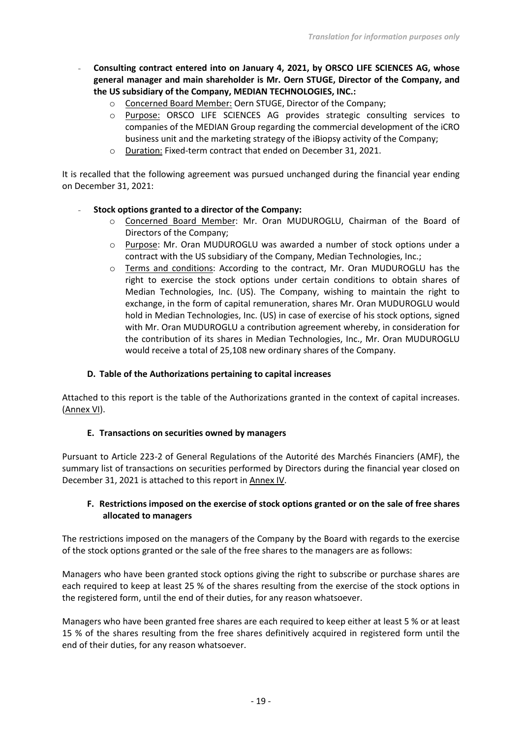- **Consulting contract entered into on January 4, 2021, by ORSCO LIFE SCIENCES AG, whose general manager and main shareholder is Mr. Oern STUGE, Director of the Company, and the US subsidiary of the Company, MEDIAN TECHNOLOGIES, INC.:** 
	- o Concerned Board Member: Oern STUGE, Director of the Company;
	- o Purpose: ORSCO LIFE SCIENCES AG provides strategic consulting services to companies of the MEDIAN Group regarding the commercial development of the iCRO business unit and the marketing strategy of the iBiopsy activity of the Company;
	- o Duration: Fixed-term contract that ended on December 31, 2021.

It is recalled that the following agreement was pursued unchanged during the financial year ending on December 31, 2021:

### - **Stock options granted to a director of the Company:**

- o Concerned Board Member: Mr. Oran MUDUROGLU, Chairman of the Board of Directors of the Company;
- o Purpose: Mr. Oran MUDUROGLU was awarded a number of stock options under a contract with the US subsidiary of the Company, Median Technologies, Inc.;
- o Terms and conditions: According to the contract, Mr. Oran MUDUROGLU has the right to exercise the stock options under certain conditions to obtain shares of Median Technologies, Inc. (US). The Company, wishing to maintain the right to exchange, in the form of capital remuneration, shares Mr. Oran MUDUROGLU would hold in Median Technologies, Inc. (US) in case of exercise of his stock options, signed with Mr. Oran MUDUROGLU a contribution agreement whereby, in consideration for the contribution of its shares in Median Technologies, Inc., Mr. Oran MUDUROGLU would receive a total of 25,108 new ordinary shares of the Company.

#### **D. Table of the Authorizations pertaining to capital increases**

Attached to this report is the table of the Authorizations granted in the context of capital increases. (Annex VI).

#### **E. Transactions on securities owned by managers**

Pursuant to Article 223-2 of General Regulations of the Autorité des Marchés Financiers (AMF), the summary list of transactions on securities performed by Directors during the financial year closed on December 31, 2021 is attached to this report in Annex IV.

# **F. Restrictions imposed on the exercise of stock options granted or on the sale of free shares allocated to managers**

The restrictions imposed on the managers of the Company by the Board with regards to the exercise of the stock options granted or the sale of the free shares to the managers are as follows:

Managers who have been granted stock options giving the right to subscribe or purchase shares are each required to keep at least 25 % of the shares resulting from the exercise of the stock options in the registered form, until the end of their duties, for any reason whatsoever.

Managers who have been granted free shares are each required to keep either at least 5 % or at least 15 % of the shares resulting from the free shares definitively acquired in registered form until the end of their duties, for any reason whatsoever.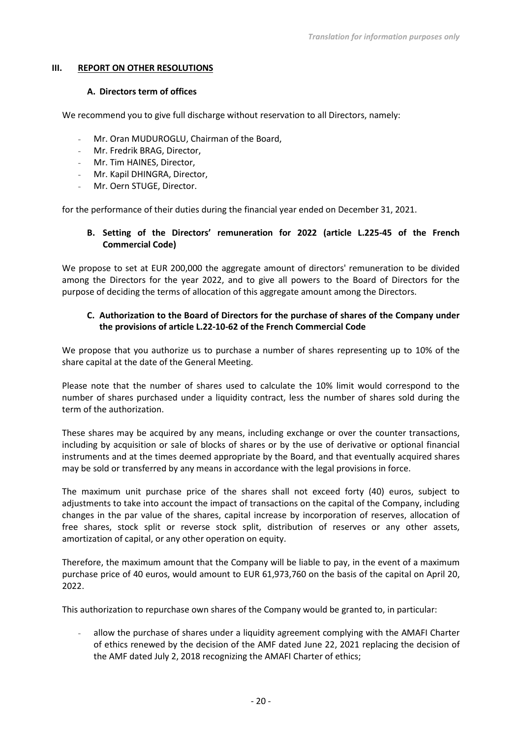#### **III. REPORT ON OTHER RESOLUTIONS**

#### **A. Directors term of offices**

We recommend you to give full discharge without reservation to all Directors, namely:

- Mr. Oran MUDUROGLU, Chairman of the Board,
- Mr. Fredrik BRAG, Director,
- Mr. Tim HAINES, Director,
- Mr. Kapil DHINGRA, Director,
- Mr. Oern STUGE, Director.

for the performance of their duties during the financial year ended on December 31, 2021.

# **B. Setting of the Directors' remuneration for 2022 (article L.225-45 of the French Commercial Code)**

We propose to set at EUR 200,000 the aggregate amount of directors' remuneration to be divided among the Directors for the year 2022, and to give all powers to the Board of Directors for the purpose of deciding the terms of allocation of this aggregate amount among the Directors.

### **C. Authorization to the Board of Directors for the purchase of shares of the Company under the provisions of article L.22-10-62 of the French Commercial Code**

We propose that you authorize us to purchase a number of shares representing up to 10% of the share capital at the date of the General Meeting.

Please note that the number of shares used to calculate the 10% limit would correspond to the number of shares purchased under a liquidity contract, less the number of shares sold during the term of the authorization.

These shares may be acquired by any means, including exchange or over the counter transactions, including by acquisition or sale of blocks of shares or by the use of derivative or optional financial instruments and at the times deemed appropriate by the Board, and that eventually acquired shares may be sold or transferred by any means in accordance with the legal provisions in force.

The maximum unit purchase price of the shares shall not exceed forty (40) euros, subject to adjustments to take into account the impact of transactions on the capital of the Company, including changes in the par value of the shares, capital increase by incorporation of reserves, allocation of free shares, stock split or reverse stock split, distribution of reserves or any other assets, amortization of capital, or any other operation on equity.

Therefore, the maximum amount that the Company will be liable to pay, in the event of a maximum purchase price of 40 euros, would amount to EUR 61,973,760 on the basis of the capital on April 20, 2022.

This authorization to repurchase own shares of the Company would be granted to, in particular:

- allow the purchase of shares under a liquidity agreement complying with the AMAFI Charter of ethics renewed by the decision of the AMF dated June 22, 2021 replacing the decision of the AMF dated July 2, 2018 recognizing the AMAFI Charter of ethics;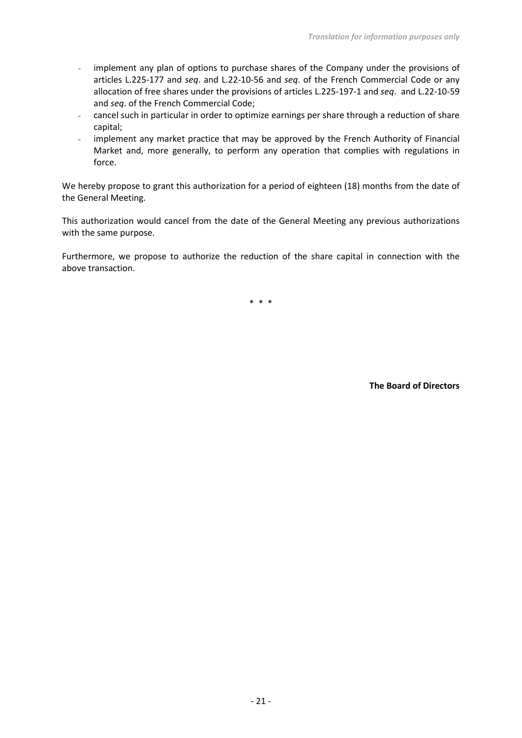- implement any plan of options to purchase shares of the Company under the provisions of articles L.225-177 and *seq*. and L.22-10-56 and *seq*. of the French Commercial Code or any allocation of free shares under the provisions of articles L.225-197-1 and *seq*. and L.22-10-59 and *seq*. of the French Commercial Code;
- cancel such in particular in order to optimize earnings per share through a reduction of share capital;
- implement any market practice that may be approved by the French Authority of Financial Market and, more generally, to perform any operation that complies with regulations in force.

We hereby propose to grant this authorization for a period of eighteen (18) months from the date of the General Meeting.

This authorization would cancel from the date of the General Meeting any previous authorizations with the same purpose.

Furthermore, we propose to authorize the reduction of the share capital in connection with the above transaction.

\* \* \*

**The Board of Directors**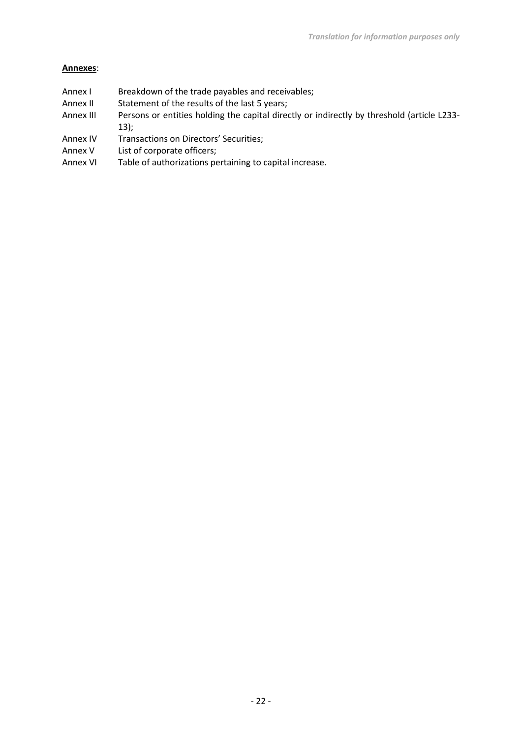### **Annexes**:

- Annex I Breakdown of the trade payables and receivables;
- Annex II Statement of the results of the last 5 years;
- Annex III Persons or entities holding the capital directly or indirectly by threshold (article L233-13);
- Annex IV Transactions on Directors' Securities;
- Annex V List of corporate officers;
- Annex VI Table of authorizations pertaining to capital increase.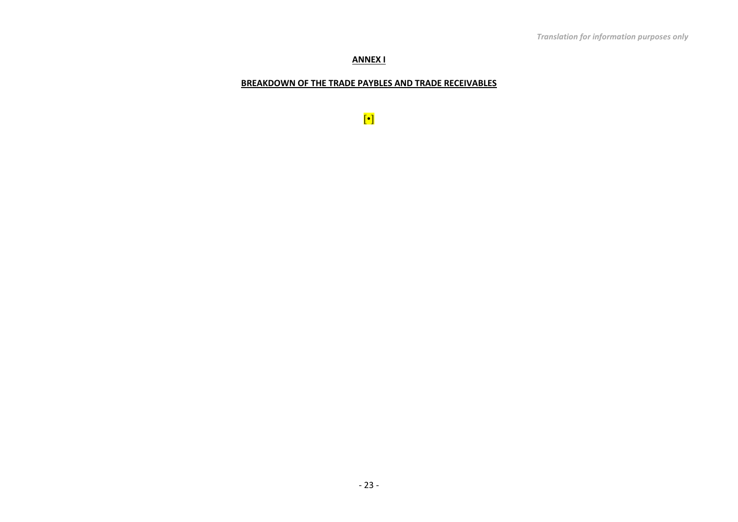### **ANNEX I**

### **BREAKDOWN OF THE TRADE PAYBLES AND TRADE RECEIVABLES**

[•]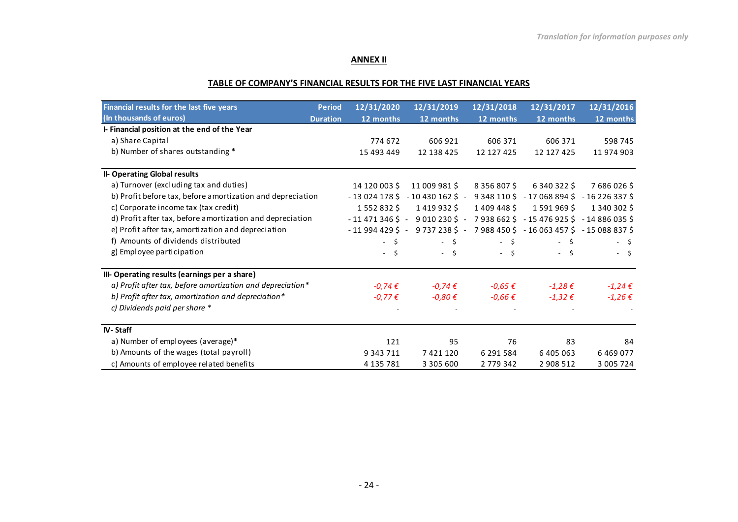### **ANNEX II**

### **TABLE OF COMPANY'S FINANCIAL RESULTS FOR THE FIVE LAST FINANCIAL YEARS**

| Financial results for the last five years                  | <b>Period</b>   | 12/31/2020                       | 12/31/2019                 | 12/31/2018       | 12/31/2017                                                                                | 12/31/2016    |
|------------------------------------------------------------|-----------------|----------------------------------|----------------------------|------------------|-------------------------------------------------------------------------------------------|---------------|
| (In thousands of euros)                                    | <b>Duration</b> | 12 months                        | 12 months                  | 12 months        | 12 months                                                                                 | 12 months     |
| I- Financial position at the end of the Year               |                 |                                  |                            |                  |                                                                                           |               |
| a) Share Capital                                           |                 | 774 672                          | 606 921                    | 606 371          | 606 371                                                                                   | 598 745       |
| b) Number of shares outstanding *                          |                 | 15 493 449                       | 12 138 425                 | 12 127 425       | 12 127 425                                                                                | 11 974 903    |
| <b>II- Operating Global results</b>                        |                 |                                  |                            |                  |                                                                                           |               |
| a) Turnover (excluding tax and duties)                     |                 | 14 120 003 \$                    | 11 009 981 \$              | 8 3 5 6 8 0 7 \$ | 6 340 322 \$                                                                              | 7686026\$     |
| b) Profit before tax, before amortization and depreciation |                 |                                  | $-130241785 - 104301625 -$ |                  | 9 348 110 \$ - 17 068 894 \$ - 16 226 337 \$                                              |               |
| c) Corporate income tax (tax credit)                       |                 | 1552832\$                        | 1419932\$                  | 1 409 448 \$     | 1591969\$                                                                                 | 1 340 302 \$  |
| d) Profit after tax, before amortization and depreciation  |                 | $-11471346$ \$ -                 | $9010230\frac{1}{2}$ -     |                  | 7 938 662 \$ - 15 476 925 \$ - 14 886 035 \$                                              |               |
| e) Profit after tax, amortization and depreciation         |                 | $-119944295 -$                   |                            |                  | $9737238\overline{5} - 7988450\overline{5} - 16063457\overline{5} - 15088837\overline{5}$ |               |
| f) Amounts of dividends distributed                        |                 | $-5$                             | $-$ \$                     | $-$ \$           | - \$                                                                                      | $-5$          |
| g) Employee participation                                  |                 | - \$<br>$\overline{\phantom{a}}$ | $-5$                       | - \$             | $-5$                                                                                      | - \$          |
| III- Operating results (earnings per a share)              |                 |                                  |                            |                  |                                                                                           |               |
| a) Profit after tax, before amortization and depreciation* |                 | $-0,74 \in$                      | $-0,74 \in$                | $-0.65 \epsilon$ | $-1,28 \in$                                                                               | $-1,24 \in$   |
| b) Profit after tax, amortization and depreciation*        |                 | $-0,77 \in$                      | $-0,80€$                   | $-0,66 \in$      | $-1,32 \in$                                                                               | $-1,26€$      |
| c) Dividends paid per share *                              |                 |                                  |                            |                  |                                                                                           |               |
| IV-Staff                                                   |                 |                                  |                            |                  |                                                                                           |               |
| a) Number of employees (average)*                          |                 | 121                              | 95                         | 76               | 83                                                                                        | 84            |
| b) Amounts of the wages (total payroll)                    |                 | 9 3 4 3 7 1 1                    | 7421120                    | 6 291 584        | 6 405 063                                                                                 | 6 4 6 9 0 7 7 |
| c) Amounts of employee related benefits                    |                 | 4 135 781                        | 3 305 600                  | 2779342          | 2 908 512                                                                                 | 3 005 724     |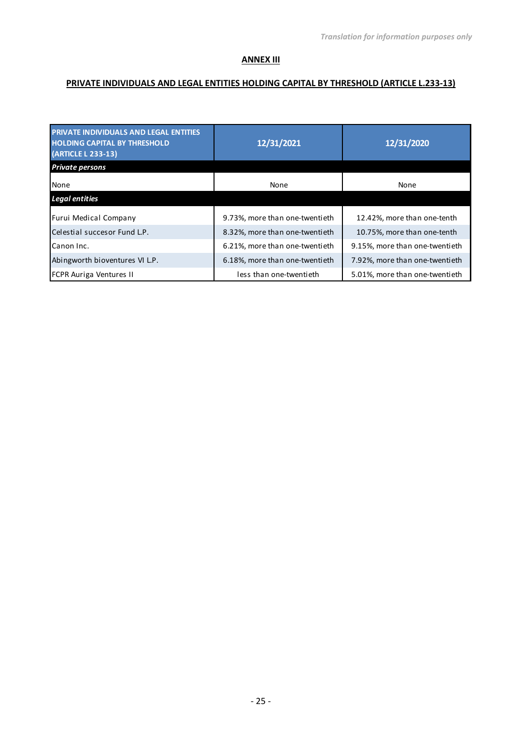#### **ANNEX III**

# **PRIVATE INDIVIDUALS AND LEGAL ENTITIES HOLDING CAPITAL BY THRESHOLD (ARTICLE L.233-13)**

| <b>PRIVATE INDIVIDUALS AND LEGAL ENTITIES</b><br><b>HOLDING CAPITAL BY THRESHOLD</b><br>(ARTICLE L 233-13) | 12/31/2021                     | 12/31/2020                     |  |
|------------------------------------------------------------------------------------------------------------|--------------------------------|--------------------------------|--|
| <b>Private persons</b>                                                                                     |                                |                                |  |
| None                                                                                                       | None                           | None                           |  |
| <b>Legal entities</b>                                                                                      |                                |                                |  |
| Furui Medical Company                                                                                      | 9.73%, more than one-twentieth | 12.42%, more than one-tenth    |  |
| Celestial succesor Fund L.P.                                                                               | 8.32%, more than one-twentieth | 10.75%, more than one-tenth    |  |
| Canon Inc.                                                                                                 | 6.21%, more than one-twentieth | 9.15%, more than one-twentieth |  |
| Abingworth bioventures VI L.P.                                                                             | 6.18%, more than one-twentieth | 7.92%, more than one-twentieth |  |
| <b>FCPR Auriga Ventures II</b>                                                                             | less than one-twentieth        | 5.01%, more than one-twentieth |  |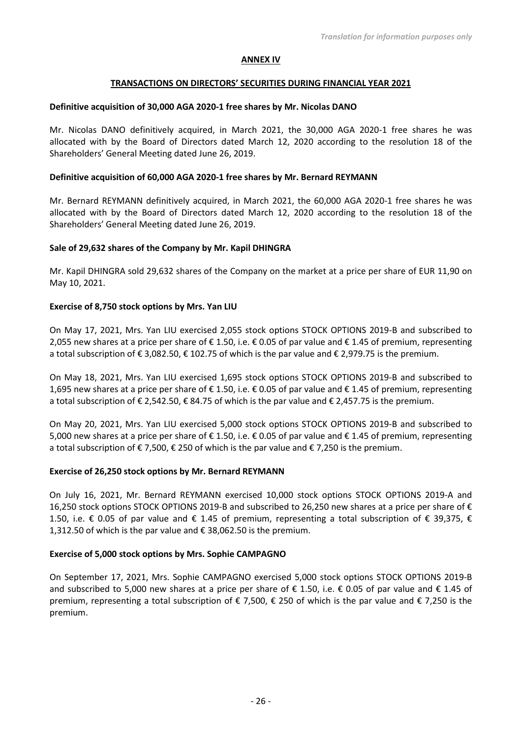#### **ANNEX IV**

#### **TRANSACTIONS ON DIRECTORS' SECURITIES DURING FINANCIAL YEAR 2021**

#### **Definitive acquisition of 30,000 AGA 2020-1 free shares by Mr. Nicolas DANO**

Mr. Nicolas DANO definitively acquired, in March 2021, the 30,000 AGA 2020-1 free shares he was allocated with by the Board of Directors dated March 12, 2020 according to the resolution 18 of the Shareholders' General Meeting dated June 26, 2019.

#### **Definitive acquisition of 60,000 AGA 2020-1 free shares by Mr. Bernard REYMANN**

Mr. Bernard REYMANN definitively acquired, in March 2021, the 60,000 AGA 2020-1 free shares he was allocated with by the Board of Directors dated March 12, 2020 according to the resolution 18 of the Shareholders' General Meeting dated June 26, 2019.

#### **Sale of 29,632 shares of the Company by Mr. Kapil DHINGRA**

Mr. Kapil DHINGRA sold 29,632 shares of the Company on the market at a price per share of EUR 11,90 on May 10, 2021.

#### **Exercise of 8,750 stock options by Mrs. Yan LIU**

On May 17, 2021, Mrs. Yan LIU exercised 2,055 stock options STOCK OPTIONS 2019-B and subscribed to 2,055 new shares at a price per share of € 1.50, i.e. € 0.05 of par value and € 1.45 of premium, representing a total subscription of € 3,082.50, € 102.75 of which is the par value and € 2,979.75 is the premium.

On May 18, 2021, Mrs. Yan LIU exercised 1,695 stock options STOCK OPTIONS 2019-B and subscribed to 1,695 new shares at a price per share of € 1.50, i.e. € 0.05 of par value and € 1.45 of premium, representing a total subscription of € 2,542.50, € 84.75 of which is the par value and € 2,457.75 is the premium.

On May 20, 2021, Mrs. Yan LIU exercised 5,000 stock options STOCK OPTIONS 2019-B and subscribed to 5,000 new shares at a price per share of € 1.50, i.e. € 0.05 of par value and € 1.45 of premium, representing a total subscription of € 7.500, € 250 of which is the par value and € 7.250 is the premium.

#### **Exercise of 26,250 stock options by Mr. Bernard REYMANN**

On July 16, 2021, Mr. Bernard REYMANN exercised 10,000 stock options STOCK OPTIONS 2019-A and 16,250 stock options STOCK OPTIONS 2019-B and subscribed to 26,250 new shares at a price per share of € 1.50, i.e. € 0.05 of par value and € 1.45 of premium, representing a total subscription of € 39,375, € 1,312.50 of which is the par value and € 38,062.50 is the premium.

#### **Exercise of 5,000 stock options by Mrs. Sophie CAMPAGNO**

On September 17, 2021, Mrs. Sophie CAMPAGNO exercised 5,000 stock options STOCK OPTIONS 2019-B and subscribed to 5,000 new shares at a price per share of  $\epsilon$  1.50, i.e.  $\epsilon$  0.05 of par value and  $\epsilon$  1.45 of premium, representing a total subscription of € 7,500, € 250 of which is the par value and € 7,250 is the premium.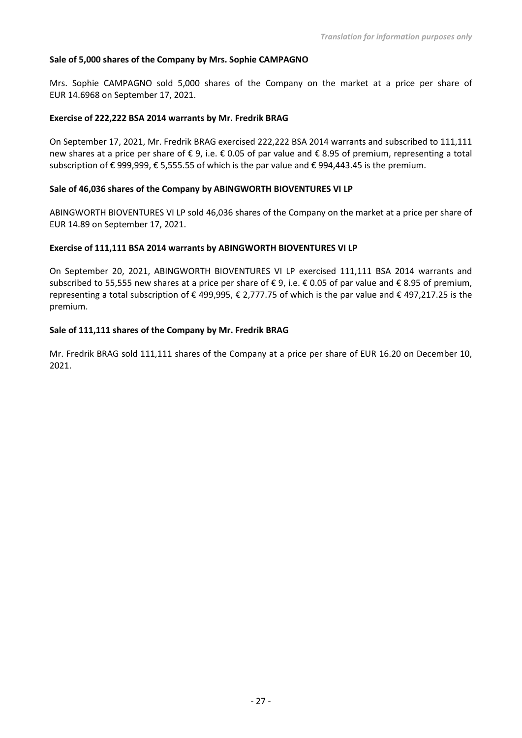#### **Sale of 5,000 shares of the Company by Mrs. Sophie CAMPAGNO**

Mrs. Sophie CAMPAGNO sold 5,000 shares of the Company on the market at a price per share of EUR 14.6968 on September 17, 2021.

#### **Exercise of 222,222 BSA 2014 warrants by Mr. Fredrik BRAG**

On September 17, 2021, Mr. Fredrik BRAG exercised 222,222 BSA 2014 warrants and subscribed to 111,111 new shares at a price per share of € 9, i.e. € 0.05 of par value and € 8.95 of premium, representing a total subscription of € 999,999, € 5,555.55 of which is the par value and € 994,443.45 is the premium.

#### **Sale of 46,036 shares of the Company by ABINGWORTH BIOVENTURES VI LP**

ABINGWORTH BIOVENTURES VI LP sold 46,036 shares of the Company on the market at a price per share of EUR 14.89 on September 17, 2021.

#### **Exercise of 111,111 BSA 2014 warrants by ABINGWORTH BIOVENTURES VI LP**

On September 20, 2021, ABINGWORTH BIOVENTURES VI LP exercised 111,111 BSA 2014 warrants and subscribed to 55,555 new shares at a price per share of € 9, i.e. € 0.05 of par value and € 8.95 of premium, representing a total subscription of € 499,995, € 2,777.75 of which is the par value and € 497,217.25 is the premium.

#### **Sale of 111,111 shares of the Company by Mr. Fredrik BRAG**

Mr. Fredrik BRAG sold 111,111 shares of the Company at a price per share of EUR 16.20 on December 10, 2021.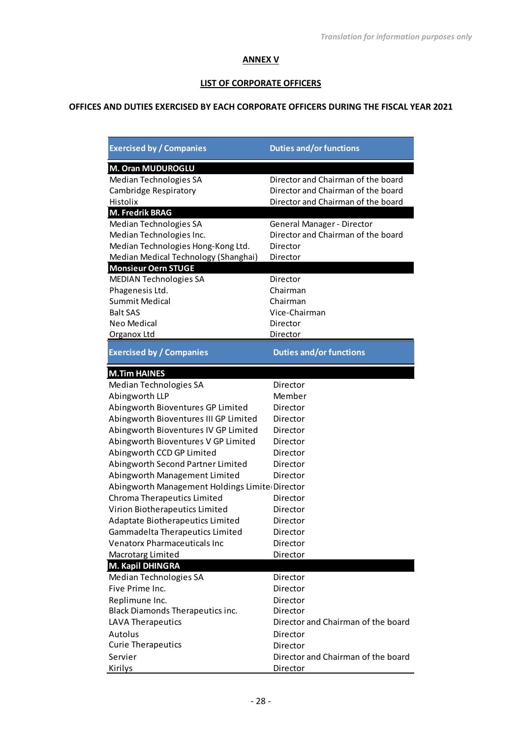### **ANNEX V**

# **LIST OF CORPORATE OFFICERS**

# **OFFICES AND DUTIES EXERCISED BY EACH CORPORATE OFFICERS DURING THE FISCAL YEAR 2021**

| <b>Exercised by / Companies</b>                | <b>Duties and/or functions</b>     |
|------------------------------------------------|------------------------------------|
| M. Oran MUDUROGLU                              |                                    |
| Median Technologies SA                         | Director and Chairman of the board |
| Cambridge Respiratory                          | Director and Chairman of the board |
| Histolix                                       | Director and Chairman of the board |
| <b>M. Fredrik BRAG</b>                         |                                    |
| Median Technologies SA                         | General Manager - Director         |
| Median Technologies Inc.                       | Director and Chairman of the board |
| Median Technologies Hong-Kong Ltd.             | Director                           |
| Median Medical Technology (Shanghai)           | Director                           |
| <b>Monsieur Oern STUGE</b>                     |                                    |
| <b>MEDIAN Technologies SA</b>                  | Director                           |
| Phagenesis Ltd.                                | Chairman                           |
| <b>Summit Medical</b>                          | Chairman                           |
| <b>Balt SAS</b>                                | Vice-Chairman                      |
| <b>Neo Medical</b>                             | Director                           |
| Organox Ltd                                    | Director                           |
| <b>Exercised by / Companies</b>                | <b>Duties and/or functions</b>     |
| <b>M.Tim HAINES</b>                            |                                    |
| Median Technologies SA                         | Director                           |
| Abingworth LLP                                 | Member                             |
| Abingworth Bioventures GP Limited              | Director                           |
| Abingworth Bioventures III GP Limited          | Director                           |
| Abingworth Bioventures IV GP Limited           | Director                           |
| Abingworth Bioventures V GP Limited            | Director                           |
| Abingworth CCD GP Limited                      | Director                           |
| Abingworth Second Partner Limited              | Director                           |
| Abingworth Management Limited                  | Director                           |
| Abingworth Management Holdings Limite Director |                                    |
| Chroma Therapeutics Limited                    | Director                           |
| Virion Biotherapeutics Limited                 | Director                           |
| Adaptate Biotherapeutics Limited               | Director                           |
| Gammadelta Therapeutics Limited                | Director                           |
| <b>Venatorx Pharmaceuticals Inc</b>            | Director                           |
| Macrotarg Limited                              | Director                           |
| M. Kapil DHINGRA                               |                                    |
| Median Technologies SA                         | Director                           |
| Five Prime Inc.                                | Director                           |
| Replimune Inc.                                 | Director                           |
| Black Diamonds Therapeutics inc.               | Director                           |
| LAVA Therapeutics                              | Director and Chairman of the board |
| Autolus                                        | Director                           |
| <b>Curie Therapeutics</b>                      | Director                           |
| Servier                                        | Director and Chairman of the board |
| Kirilys                                        | Director                           |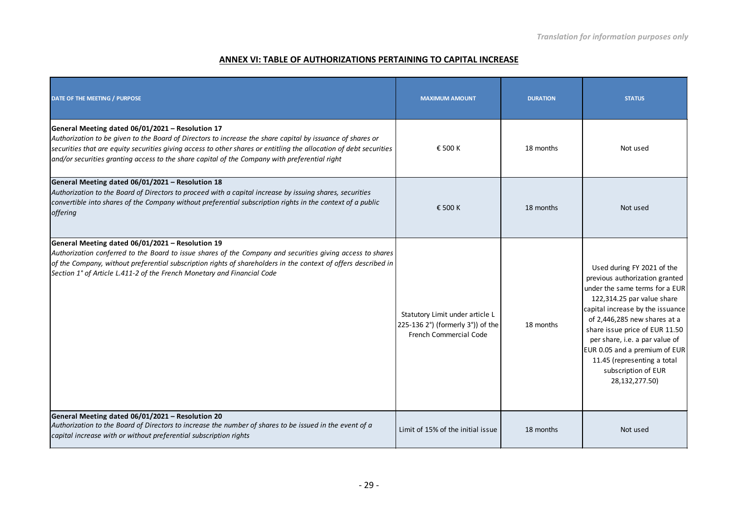### **ANNEX VI: TABLE OF AUTHORIZATIONS PERTAINING TO CAPITAL INCREASE**

| DATE OF THE MEETING / PURPOSE                                                                                                                                                                                                                                                                                                                                                         | <b>MAXIMUM AMOUNT</b>                                                                                 | <b>DURATION</b> | <b>STATUS</b>                                                                                                                                                                                                                                                                                                                                                                 |
|---------------------------------------------------------------------------------------------------------------------------------------------------------------------------------------------------------------------------------------------------------------------------------------------------------------------------------------------------------------------------------------|-------------------------------------------------------------------------------------------------------|-----------------|-------------------------------------------------------------------------------------------------------------------------------------------------------------------------------------------------------------------------------------------------------------------------------------------------------------------------------------------------------------------------------|
| General Meeting dated 06/01/2021 - Resolution 17<br>Authorization to be given to the Board of Directors to increase the share capital by issuance of shares or<br>securities that are equity securities giving access to other shares or entitling the allocation of debt securities<br>and/or securities granting access to the share capital of the Company with preferential right | € 500 K                                                                                               | 18 months       | Not used                                                                                                                                                                                                                                                                                                                                                                      |
| General Meeting dated 06/01/2021 - Resolution 18<br>Authorization to the Board of Directors to proceed with a capital increase by issuing shares, securities<br>convertible into shares of the Company without preferential subscription rights in the context of a public<br>offering                                                                                                | € 500 K                                                                                               | 18 months       | Not used                                                                                                                                                                                                                                                                                                                                                                      |
| General Meeting dated 06/01/2021 - Resolution 19<br>Authorization conferred to the Board to issue shares of the Company and securities giving access to shares<br>of the Company, without preferential subscription rights of shareholders in the context of offers described in<br>Section 1° of Article L.411-2 of the French Monetary and Financial Code                           | Statutory Limit under article L<br>225-136 2°) (formerly 3°)) of the<br><b>French Commercial Code</b> | 18 months       | Used during FY 2021 of the<br>previous authorization granted<br>under the same terms for a EUR<br>122,314.25 par value share<br>capital increase by the issuance<br>of 2,446,285 new shares at a<br>share issue price of EUR 11.50<br>per share, i.e. a par value of<br>EUR 0.05 and a premium of EUR<br>11.45 (representing a total<br>subscription of EUR<br>28,132,277.50) |
| General Meeting dated 06/01/2021 - Resolution 20<br>Authorization to the Board of Directors to increase the number of shares to be issued in the event of a<br>capital increase with or without preferential subscription rights                                                                                                                                                      | Limit of 15% of the initial issue                                                                     | 18 months       | Not used                                                                                                                                                                                                                                                                                                                                                                      |